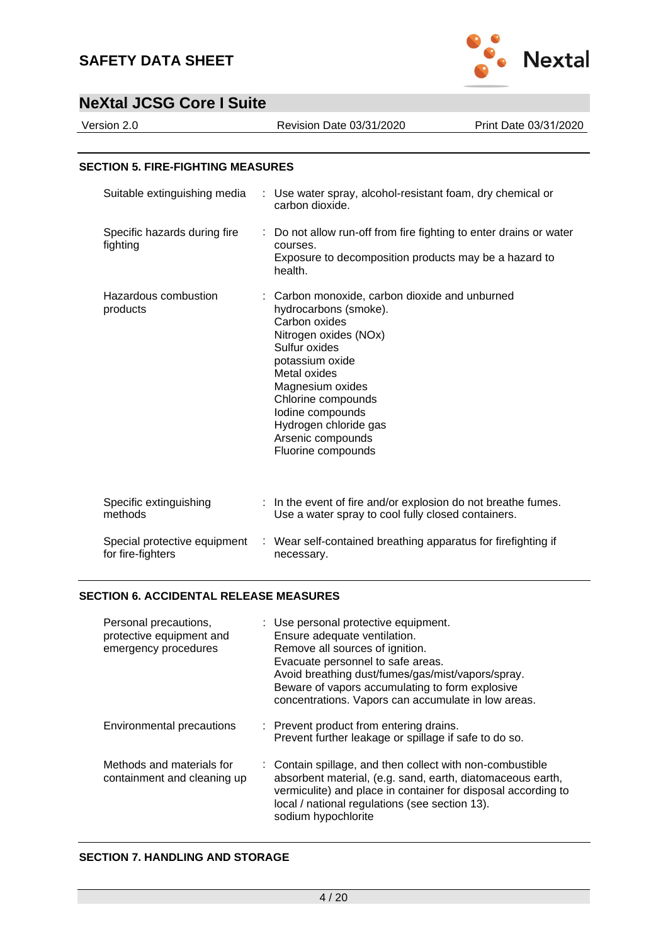

| Version 2.0                                       | Revision Date 03/31/2020                                                                                                                                                                                                                                                                              | Print Date 03/31/2020 |
|---------------------------------------------------|-------------------------------------------------------------------------------------------------------------------------------------------------------------------------------------------------------------------------------------------------------------------------------------------------------|-----------------------|
| <b>SECTION 5. FIRE-FIGHTING MEASURES</b>          |                                                                                                                                                                                                                                                                                                       |                       |
| Suitable extinguishing media                      | Use water spray, alcohol-resistant foam, dry chemical or<br>carbon dioxide.                                                                                                                                                                                                                           |                       |
| Specific hazards during fire<br>fighting          | Do not allow run-off from fire fighting to enter drains or water<br>courses.<br>Exposure to decomposition products may be a hazard to<br>health.                                                                                                                                                      |                       |
| Hazardous combustion<br>products                  | Carbon monoxide, carbon dioxide and unburned<br>hydrocarbons (smoke).<br>Carbon oxides<br>Nitrogen oxides (NOx)<br>Sulfur oxides<br>potassium oxide<br>Metal oxides<br>Magnesium oxides<br>Chlorine compounds<br>lodine compounds<br>Hydrogen chloride gas<br>Arsenic compounds<br>Fluorine compounds |                       |
| Specific extinguishing<br>methods                 | In the event of fire and/or explosion do not breathe fumes.<br>Use a water spray to cool fully closed containers.                                                                                                                                                                                     |                       |
| Special protective equipment<br>for fire-fighters | : Wear self-contained breathing apparatus for firefighting if<br>necessary.                                                                                                                                                                                                                           |                       |

## **SECTION 6. ACCIDENTAL RELEASE MEASURES**

| Personal precautions,<br>protective equipment and<br>emergency procedures | : Use personal protective equipment.<br>Ensure adequate ventilation.<br>Remove all sources of ignition.<br>Evacuate personnel to safe areas.<br>Avoid breathing dust/fumes/gas/mist/vapors/spray.<br>Beware of vapors accumulating to form explosive<br>concentrations. Vapors can accumulate in low areas. |
|---------------------------------------------------------------------------|-------------------------------------------------------------------------------------------------------------------------------------------------------------------------------------------------------------------------------------------------------------------------------------------------------------|
| Environmental precautions                                                 | : Prevent product from entering drains.<br>Prevent further leakage or spillage if safe to do so.                                                                                                                                                                                                            |
| Methods and materials for<br>containment and cleaning up                  | : Contain spillage, and then collect with non-combustible<br>absorbent material, (e.g. sand, earth, diatomaceous earth,<br>vermiculite) and place in container for disposal according to<br>local / national regulations (see section 13).<br>sodium hypochlorite                                           |

## **SECTION 7. HANDLING AND STORAGE**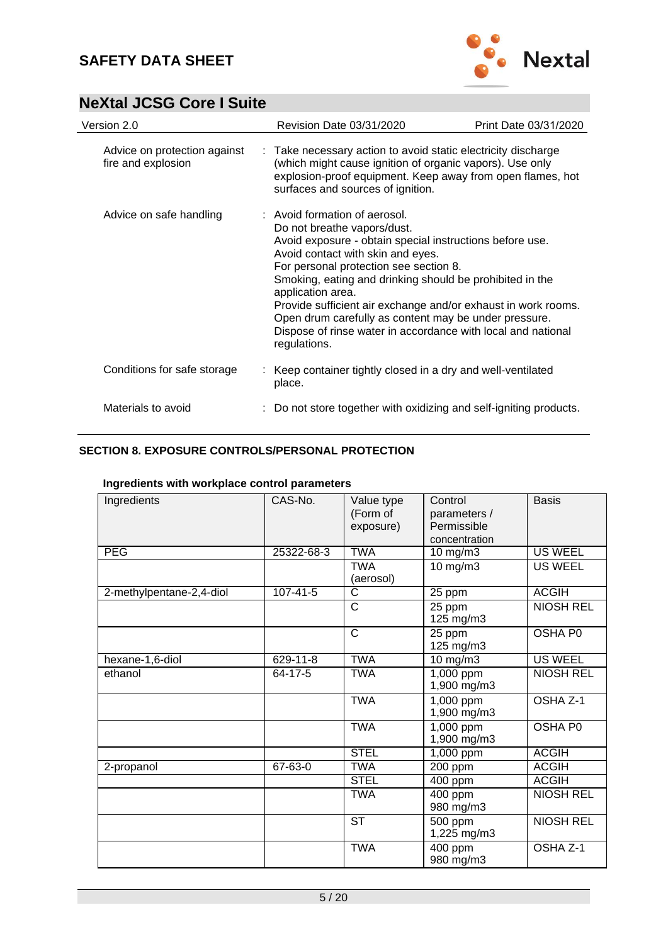

| Version 2.0                                        | Revision Date 03/31/2020                                                                                                                                                                                                                                                                                                                                                                                                                                                                           | Print Date 03/31/2020 |
|----------------------------------------------------|----------------------------------------------------------------------------------------------------------------------------------------------------------------------------------------------------------------------------------------------------------------------------------------------------------------------------------------------------------------------------------------------------------------------------------------------------------------------------------------------------|-----------------------|
| Advice on protection against<br>fire and explosion | : Take necessary action to avoid static electricity discharge<br>(which might cause ignition of organic vapors). Use only<br>explosion-proof equipment. Keep away from open flames, hot<br>surfaces and sources of ignition.                                                                                                                                                                                                                                                                       |                       |
| Advice on safe handling                            | : Avoid formation of aerosol.<br>Do not breathe vapors/dust.<br>Avoid exposure - obtain special instructions before use.<br>Avoid contact with skin and eyes.<br>For personal protection see section 8.<br>Smoking, eating and drinking should be prohibited in the<br>application area.<br>Provide sufficient air exchange and/or exhaust in work rooms.<br>Open drum carefully as content may be under pressure.<br>Dispose of rinse water in accordance with local and national<br>regulations. |                       |
| Conditions for safe storage                        | : Keep container tightly closed in a dry and well-ventilated<br>place.                                                                                                                                                                                                                                                                                                                                                                                                                             |                       |
| Materials to avoid                                 | : Do not store together with oxidizing and self-igniting products.                                                                                                                                                                                                                                                                                                                                                                                                                                 |                       |

### **SECTION 8. EXPOSURE CONTROLS/PERSONAL PROTECTION**

| Ingredients<br><b>PEG</b> | CAS-No.<br>25322-68-3 | Value type<br>(Form of<br>exposure)<br><b>TWA</b> | Control<br>parameters /<br>Permissible<br>concentration | <b>Basis</b><br><b>US WEEL</b> |
|---------------------------|-----------------------|---------------------------------------------------|---------------------------------------------------------|--------------------------------|
|                           |                       |                                                   | 10 mg/m3                                                |                                |
|                           |                       | <b>TWA</b><br>(aerosol)                           | $10$ mg/m $3$                                           | <b>US WEEL</b>                 |
| 2-methylpentane-2,4-diol  | $107 - 41 - 5$        | C                                                 | 25 ppm                                                  | <b>ACGIH</b>                   |
|                           |                       | C                                                 | 25 ppm<br>125 mg/m3                                     | <b>NIOSH REL</b>               |
|                           |                       | C                                                 | 25 ppm<br>125 mg/m3                                     | OSHA P0                        |
| hexane-1,6-diol           | 629-11-8              | <b>TWA</b>                                        | $10$ mg/m $3$                                           | <b>US WEEL</b>                 |
| ethanol                   | 64-17-5               | <b>TWA</b>                                        | 1,000 ppm<br>1,900 mg/m3                                | <b>NIOSH REL</b>               |
|                           |                       | <b>TWA</b>                                        | 1,000 ppm<br>1,900 mg/m3                                | OSHA Z-1                       |
|                           |                       | <b>TWA</b>                                        | $1,000$ ppm<br>1,900 mg/m3                              | OSHA P0                        |
|                           |                       | <b>STEL</b>                                       | $1,000$ ppm                                             | <b>ACGIH</b>                   |
| 2-propanol                | 67-63-0               | <b>TWA</b>                                        | 200 ppm                                                 | <b>ACGIH</b>                   |
|                           |                       | <b>STEL</b>                                       | $\overline{400}$ ppm                                    | <b>ACGIH</b>                   |
|                           |                       | <b>TWA</b>                                        | 400 ppm<br>980 mg/m3                                    | <b>NIOSH REL</b>               |
|                           |                       | <b>ST</b>                                         | 500 ppm<br>1,225 mg/m3                                  | <b>NIOSH REL</b>               |
|                           |                       | <b>TWA</b>                                        | 400 ppm<br>980 mg/m3                                    | OSHA Z-1                       |

## **Ingredients with workplace control parameters**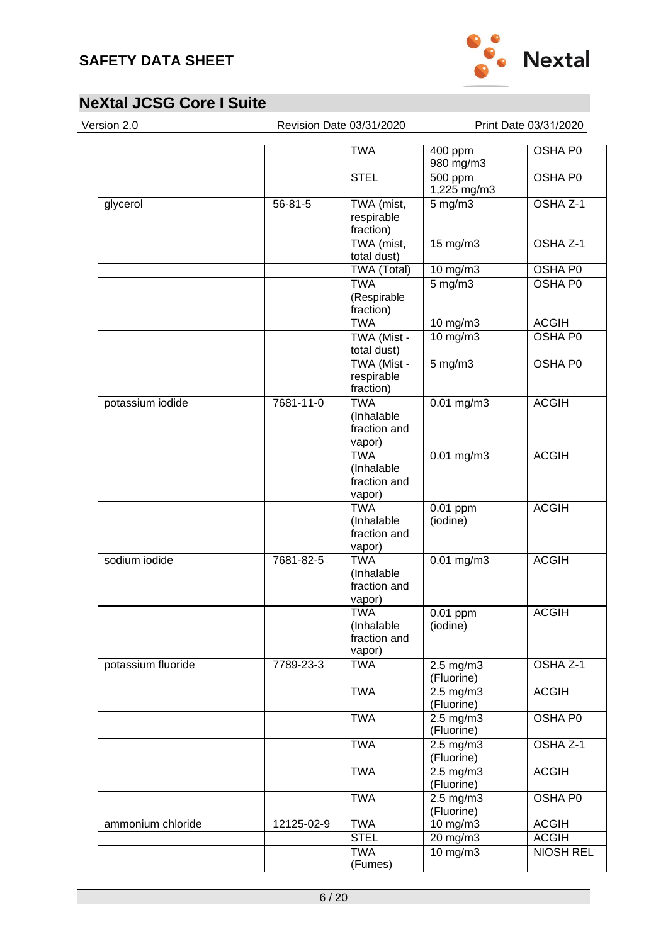

| Version 2.0<br>Revision Date 03/31/2020 |            |                                                    | Print Date 03/31/2020              |                     |
|-----------------------------------------|------------|----------------------------------------------------|------------------------------------|---------------------|
|                                         |            | <b>TWA</b>                                         | 400 ppm<br>980 mg/m3               | OSHA P0             |
|                                         |            | <b>STEL</b>                                        | 500 ppm<br>1,225 mg/m3             | OSHA P0             |
| glycerol                                | 56-81-5    | TWA (mist,<br>respirable<br>fraction)              | $5$ mg/m $3$                       | OSHA Z-1            |
|                                         |            | TWA (mist,<br>total dust)                          | 15 mg/m3                           | OSHA Z-1            |
|                                         |            | TWA (Total)                                        | $10$ mg/m $3$                      | <b>OSHA P0</b>      |
|                                         |            | <b>TWA</b><br>(Respirable<br>fraction)             | $5$ mg/m $3$                       | OSHA P0             |
|                                         |            | <b>TWA</b>                                         | $10$ mg/m $3$                      | <b>ACGIH</b>        |
|                                         |            | TWA (Mist -<br>total dust)                         | 10 mg/m3                           | OSHA P0             |
|                                         |            | TWA (Mist -<br>respirable<br>fraction)             | $5$ mg/m $3$                       | OSHA P0             |
| potassium iodide                        | 7681-11-0  | <b>TWA</b><br>(Inhalable<br>fraction and<br>vapor) | $0.01$ mg/m3                       | <b>ACGIH</b>        |
|                                         |            | <b>TWA</b><br>(Inhalable<br>fraction and<br>vapor) | $0.01$ mg/m3                       | <b>ACGIH</b>        |
|                                         |            | <b>TWA</b><br>(Inhalable<br>fraction and<br>vapor) | $0.01$ ppm<br>(iodine)             | <b>ACGIH</b>        |
| sodium iodide                           | 7681-82-5  | <b>TWA</b><br>(Inhalable<br>fraction and<br>vapor) | $0.01$ mg/m3                       | <b>ACGIH</b>        |
|                                         |            | <b>TWA</b><br>(Inhalable<br>fraction and<br>vapor) | 0.01 ppm<br>(iodine)               | <b>ACGIH</b>        |
| potassium fluoride                      | 7789-23-3  | <b>TWA</b>                                         | $2.5$ mg/m $3$<br>(Fluorine)       | OSHA <sub>Z-1</sub> |
|                                         |            | <b>TWA</b>                                         | $2.5 \text{ mg/m}$ 3<br>(Fluorine) | <b>ACGIH</b>        |
|                                         |            | <b>TWA</b>                                         | $2.5 \text{ mg/m}$<br>(Fluorine)   | <b>OSHA P0</b>      |
|                                         |            | <b>TWA</b>                                         | $2.5$ mg/m $3$<br>(Fluorine)       | OSHA Z-1            |
|                                         |            | <b>TWA</b>                                         | $2.5$ mg/m $3$<br>(Fluorine)       | <b>ACGIH</b>        |
|                                         |            | <b>TWA</b>                                         | $2.5$ mg/m $3$<br>(Fluorine)       | OSHA P0             |
| ammonium chloride                       | 12125-02-9 | <b>TWA</b>                                         | 10 mg/m3                           | <b>ACGIH</b>        |
|                                         |            | <b>STEL</b>                                        | $20$ mg/m $3$                      | <b>ACGIH</b>        |
|                                         |            | <b>TWA</b><br>(Fumes)                              | $10$ mg/m $3$                      | <b>NIOSH REL</b>    |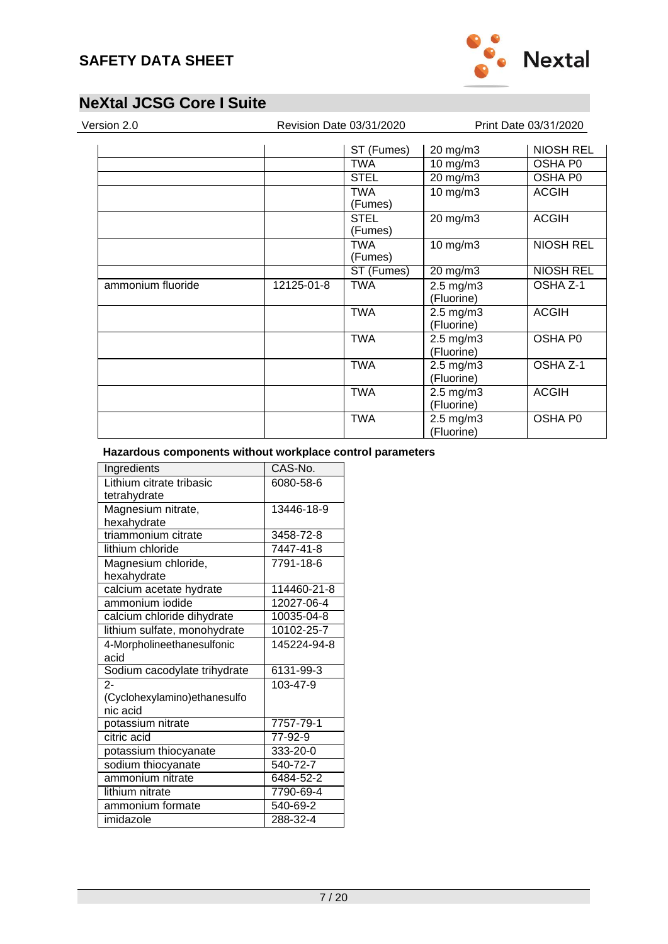

(Fluorine)

# **NeXtal JCSG Core I Suite**

| Version 2.0       |            | Revision Date 03/31/2020 |                                    | Print Date 03/31/2020 |  |
|-------------------|------------|--------------------------|------------------------------------|-----------------------|--|
|                   |            | ST (Fumes)               | 20 mg/m3                           | <b>NIOSH REL</b>      |  |
|                   |            | <b>TWA</b>               | $10$ mg/m $3$                      | <b>OSHA P0</b>        |  |
|                   |            | <b>STEL</b>              | 20 mg/m3                           | OSHA P0               |  |
|                   |            | <b>TWA</b><br>(Fumes)    | $10$ mg/m $3$                      | <b>ACGIH</b>          |  |
|                   |            | <b>STEL</b><br>(Fumes)   | 20 mg/m3                           | <b>ACGIH</b>          |  |
|                   |            | <b>TWA</b><br>(Fumes)    | 10 mg/m3                           | <b>NIOSH REL</b>      |  |
|                   |            | ST (Fumes)               | $20 \text{ mg/m}$                  | <b>NIOSH REL</b>      |  |
| ammonium fluoride | 12125-01-8 | <b>TWA</b>               | $2.5$ mg/m $3$<br>(Fluorine)       | OSHA Z-1              |  |
|                   |            | <b>TWA</b>               | $2.5$ mg/m $3$<br>(Fluorine)       | <b>ACGIH</b>          |  |
|                   |            | <b>TWA</b>               | 2.5 mg/m3<br>(Fluorine)            | OSHA P0               |  |
|                   |            | <b>TWA</b>               | $2.5$ mg/m $3$<br>(Fluorine)       | OSHA Z-1              |  |
|                   |            | <b>TWA</b>               | $2.5 \text{ mg/m}$ 3<br>(Fluorine) | <b>ACGIH</b>          |  |
|                   |            | <b>TWA</b>               | $2.5$ mg/m $3$                     | OSHA P0               |  |

## **Hazardous components without workplace control parameters**

| Ingredients                   | CAS-No.        |
|-------------------------------|----------------|
| Lithium citrate tribasic      | 6080-58-6      |
| tetrahydrate                  |                |
| Magnesium nitrate,            | 13446-18-9     |
| hexahydrate                   |                |
| triammonium citrate           | 3458-72-8      |
| lithium chloride              | 7447-41-8      |
| Magnesium chloride,           | 7791-18-6      |
| hexahydrate                   |                |
| calcium acetate hydrate       | 114460-21-8    |
| ammonium iodide               | 12027-06-4     |
| calcium chloride dihydrate    | 10035-04-8     |
| lithium sulfate, monohydrate  | 10102-25-7     |
| 4-Morpholineethanesulfonic    | 145224-94-8    |
| acid                          |                |
| Sodium cacodylate trihydrate  | 6131-99-3      |
| $2 -$                         | 103-47-9       |
| (Cyclohexylamino) ethanesulfo |                |
| nic acid                      |                |
| potassium nitrate             | 7757-79-1      |
| citric acid                   | 77-92-9        |
| potassium thiocyanate         | 333-20-0       |
| sodium thiocyanate            | $540 - 72 - 7$ |
| ammonium nitrate              | 6484-52-2      |
| lithium nitrate               | 7790-69-4      |
| ammonium formate              | 540-69-2       |
| imidazole                     | 288-32-4       |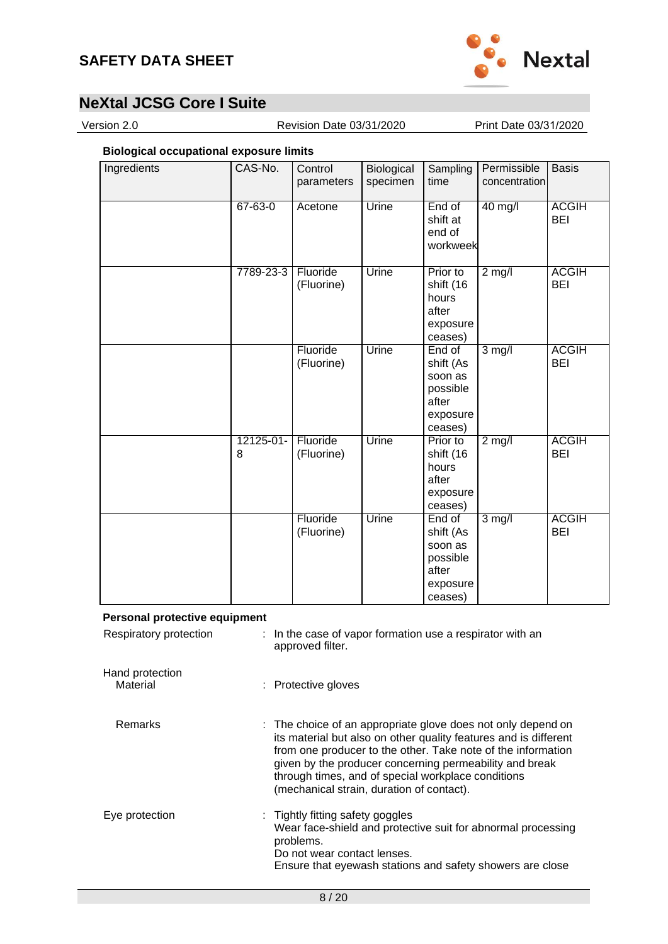

Version 2.0 Revision Date 03/31/2020 Print Date 03/31/2020

## **Biological occupational exposure limits**

| Ingredients | CAS-No.        | Control<br>parameters  | Biological<br>specimen | Sampling<br>time                                                           | Permissible<br>concentration | <b>Basis</b>               |
|-------------|----------------|------------------------|------------------------|----------------------------------------------------------------------------|------------------------------|----------------------------|
|             | $67 - 63 - 0$  | Acetone                | Urine                  | End of<br>shift at<br>end of<br>workweek                                   | 40 mg/l                      | <b>ACGIH</b><br><b>BEI</b> |
|             | 7789-23-3      | Fluoride<br>(Fluorine) | Urine                  | Prior to<br>shift (16<br>hours<br>after<br>exposure<br>ceases)             | $2$ mg/l                     | <b>ACGIH</b><br><b>BEI</b> |
|             |                | Fluoride<br>(Fluorine) | Urine                  | End of<br>shift (As<br>soon as<br>possible<br>after<br>exposure<br>ceases) | $3 \text{ mg/l}$             | <b>ACGIH</b><br><b>BEI</b> |
|             | 12125-01-<br>8 | Fluoride<br>(Fluorine) | Urine                  | Prior to<br>shift (16<br>hours<br>after<br>exposure<br>ceases)             | $2$ mg/l                     | <b>ACGIH</b><br><b>BEI</b> |
|             |                | Fluoride<br>(Fluorine) | Urine                  | End of<br>shift (As<br>soon as<br>possible<br>after<br>exposure<br>ceases) | $3$ mg/l                     | <b>ACGIH</b><br><b>BEI</b> |

#### **Personal protective equipment**

| Respiratory protection      | : In the case of vapor formation use a respirator with an<br>approved filter.                                                                                                                                                                                                                                                                                  |
|-----------------------------|----------------------------------------------------------------------------------------------------------------------------------------------------------------------------------------------------------------------------------------------------------------------------------------------------------------------------------------------------------------|
| Hand protection<br>Material | : Protective gloves                                                                                                                                                                                                                                                                                                                                            |
| <b>Remarks</b>              | : The choice of an appropriate glove does not only depend on<br>its material but also on other quality features and is different<br>from one producer to the other. Take note of the information<br>given by the producer concerning permeability and break<br>through times, and of special workplace conditions<br>(mechanical strain, duration of contact). |
| Eye protection              | : Tightly fitting safety goggles<br>Wear face-shield and protective suit for abnormal processing<br>problems.<br>Do not wear contact lenses.<br>Ensure that eyewash stations and safety showers are close                                                                                                                                                      |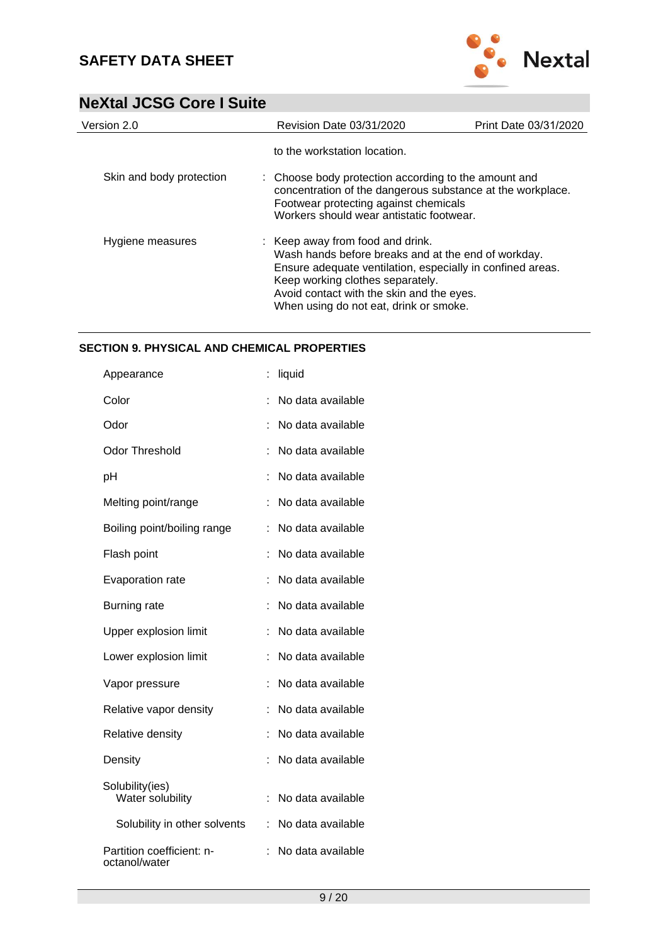

| Version 2.0              | <b>Revision Date 03/31/2020</b>                                                                                                                                                                                                                                                  | Print Date 03/31/2020 |
|--------------------------|----------------------------------------------------------------------------------------------------------------------------------------------------------------------------------------------------------------------------------------------------------------------------------|-----------------------|
|                          | to the workstation location.                                                                                                                                                                                                                                                     |                       |
| Skin and body protection | : Choose body protection according to the amount and<br>concentration of the dangerous substance at the workplace.<br>Footwear protecting against chemicals<br>Workers should wear antistatic footwear.                                                                          |                       |
| Hygiene measures         | : Keep away from food and drink.<br>Wash hands before breaks and at the end of workday.<br>Ensure adequate ventilation, especially in confined areas.<br>Keep working clothes separately.<br>Avoid contact with the skin and the eyes.<br>When using do not eat, drink or smoke. |                       |

### **SECTION 9. PHYSICAL AND CHEMICAL PROPERTIES**

| Appearance                                 |   | liquid            |
|--------------------------------------------|---|-------------------|
| Color                                      |   | No data available |
| Odor                                       |   | No data available |
| <b>Odor Threshold</b>                      |   | No data available |
| рH                                         |   | No data available |
| Melting point/range                        |   | No data available |
| Boiling point/boiling range                |   | No data available |
| Flash point                                |   | No data available |
| Evaporation rate                           | t | No data available |
| <b>Burning rate</b>                        | t | No data available |
| Upper explosion limit                      |   | No data available |
| Lower explosion limit                      | t | No data available |
| Vapor pressure                             |   | No data available |
| Relative vapor density                     |   | No data available |
| Relative density                           | t | No data available |
| Density                                    | t | No data available |
| Solubility(ies)<br>Water solubility        |   | No data available |
| Solubility in other solvents               |   | No data available |
| Partition coefficient: n-<br>octanol/water |   | No data available |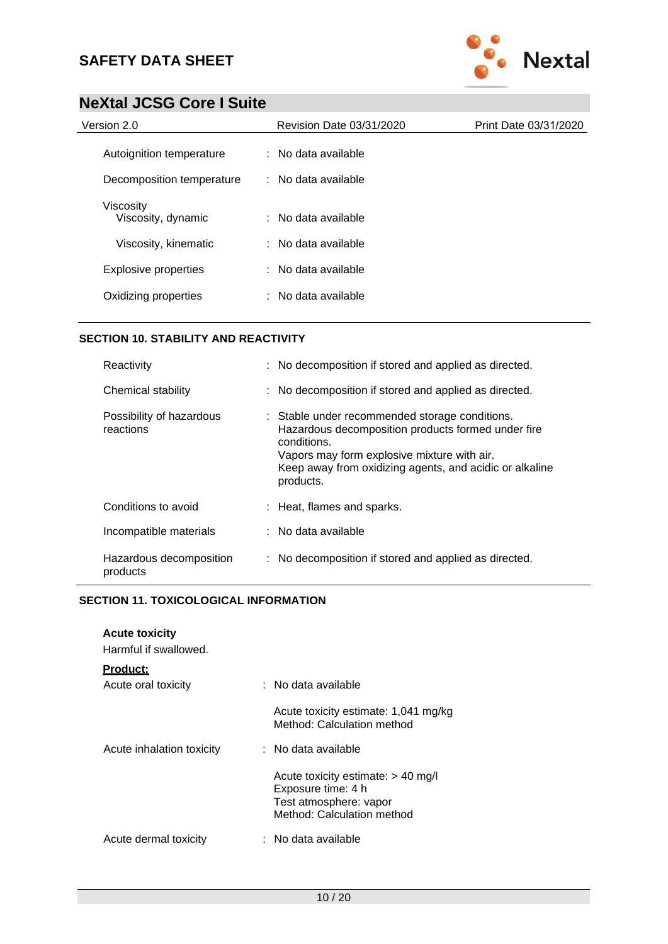

| Version 2.0                     | <b>Revision Date 03/31/2020</b> | Print Date 03/31/2020 |
|---------------------------------|---------------------------------|-----------------------|
| Autoignition temperature        | $:$ No data available           |                       |
| Decomposition temperature       | $\therefore$ No data available  |                       |
| Viscosity<br>Viscosity, dynamic | : No data available             |                       |
| Viscosity, kinematic            | : No data available             |                       |
| <b>Explosive properties</b>     | $:$ No data available           |                       |
| Oxidizing properties            | : No data available             |                       |

#### **SECTION 10. STABILITY AND REACTIVITY**

| Reactivity                            | : No decomposition if stored and applied as directed.                                                                                                                                                                                      |
|---------------------------------------|--------------------------------------------------------------------------------------------------------------------------------------------------------------------------------------------------------------------------------------------|
| Chemical stability                    | : No decomposition if stored and applied as directed.                                                                                                                                                                                      |
| Possibility of hazardous<br>reactions | : Stable under recommended storage conditions.<br>Hazardous decomposition products formed under fire<br>conditions.<br>Vapors may form explosive mixture with air.<br>Keep away from oxidizing agents, and acidic or alkaline<br>products. |
| Conditions to avoid                   | : Heat, flames and sparks.                                                                                                                                                                                                                 |
| Incompatible materials                | $:$ No data available                                                                                                                                                                                                                      |
| Hazardous decomposition<br>products   | : No decomposition if stored and applied as directed.                                                                                                                                                                                      |

### **SECTION 11. TOXICOLOGICAL INFORMATION**

| <b>Acute toxicity</b><br>Harmful if swallowed. |                                                                                                                    |
|------------------------------------------------|--------------------------------------------------------------------------------------------------------------------|
| <u>Product:</u><br>Acute oral toxicity         | : No data available                                                                                                |
|                                                | Acute toxicity estimate: 1,041 mg/kg<br>Method: Calculation method                                                 |
| Acute inhalation toxicity                      | $:$ No data available                                                                                              |
|                                                | Acute toxicity estimate: $> 40$ mg/l<br>Exposure time: 4 h<br>Test atmosphere: vapor<br>Method: Calculation method |
| Acute dermal toxicity                          | ∶ No data available                                                                                                |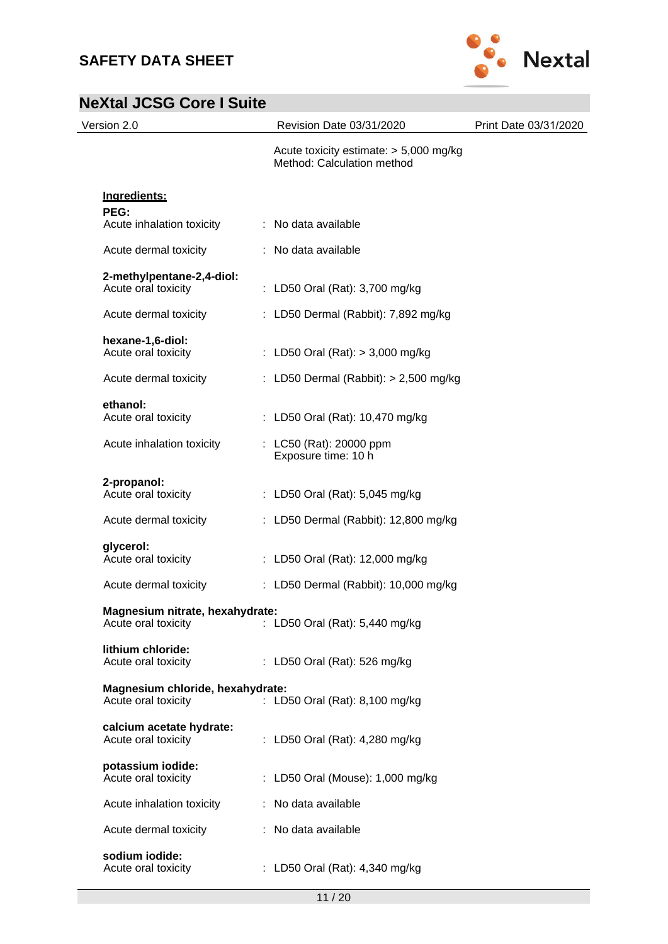

| Version 2.0                                             | Revision Date 03/31/2020                                               | Print Date 03/31/2020 |
|---------------------------------------------------------|------------------------------------------------------------------------|-----------------------|
|                                                         | Acute toxicity estimate: $> 5,000$ mg/kg<br>Method: Calculation method |                       |
| Ingredients:                                            |                                                                        |                       |
| PEG:<br>Acute inhalation toxicity                       | : No data available                                                    |                       |
| Acute dermal toxicity                                   | : No data available                                                    |                       |
| 2-methylpentane-2,4-diol:<br>Acute oral toxicity        | : LD50 Oral (Rat): 3,700 mg/kg                                         |                       |
| Acute dermal toxicity                                   | : LD50 Dermal (Rabbit): 7,892 mg/kg                                    |                       |
| hexane-1,6-diol:<br>Acute oral toxicity                 | : LD50 Oral (Rat): $> 3,000$ mg/kg                                     |                       |
| Acute dermal toxicity                                   | : LD50 Dermal (Rabbit): $> 2,500$ mg/kg                                |                       |
| ethanol:<br>Acute oral toxicity                         | : LD50 Oral (Rat): 10,470 mg/kg                                        |                       |
| Acute inhalation toxicity                               | : LC50 (Rat): 20000 ppm<br>Exposure time: 10 h                         |                       |
| 2-propanol:<br>Acute oral toxicity                      | : LD50 Oral (Rat): 5,045 mg/kg                                         |                       |
| Acute dermal toxicity                                   | : LD50 Dermal (Rabbit): 12,800 mg/kg                                   |                       |
| glycerol:<br>Acute oral toxicity                        | : LD50 Oral (Rat): 12,000 mg/kg                                        |                       |
| Acute dermal toxicity                                   | : LD50 Dermal (Rabbit): 10,000 mg/kg                                   |                       |
| Magnesium nitrate, hexahydrate:<br>Acute oral toxicity  | : LD50 Oral (Rat): 5,440 mg/kg                                         |                       |
| lithium chloride:<br>Acute oral toxicity                | : LD50 Oral (Rat): 526 mg/kg                                           |                       |
| Magnesium chloride, hexahydrate:<br>Acute oral toxicity | : LD50 Oral (Rat): 8,100 mg/kg                                         |                       |
| calcium acetate hydrate:<br>Acute oral toxicity         | : LD50 Oral (Rat): 4,280 mg/kg                                         |                       |
| potassium iodide:<br>Acute oral toxicity                | : LD50 Oral (Mouse): 1,000 mg/kg                                       |                       |
| Acute inhalation toxicity                               | : No data available                                                    |                       |
| Acute dermal toxicity                                   | : No data available                                                    |                       |
| sodium iodide:<br>Acute oral toxicity                   | : LD50 Oral (Rat): 4,340 mg/kg                                         |                       |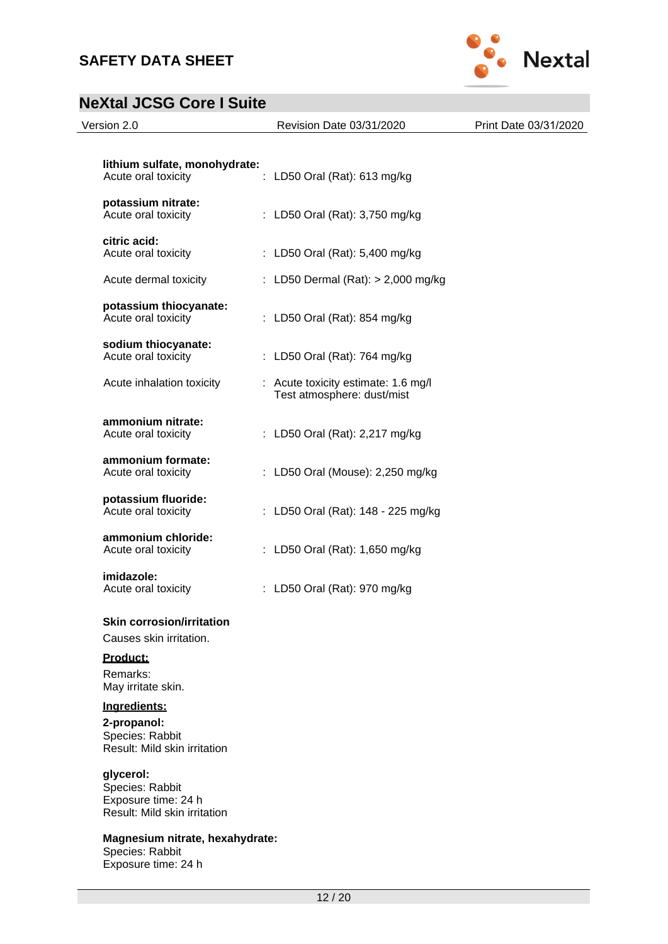Exposure time: 24 h



| Version 2.0                                                                         | Revision Date 03/31/2020                                          | Print Date 03/31/2020 |
|-------------------------------------------------------------------------------------|-------------------------------------------------------------------|-----------------------|
| lithium sulfate, monohydrate:<br>Acute oral toxicity                                | LD50 Oral (Rat): 613 mg/kg                                        |                       |
| potassium nitrate:<br>Acute oral toxicity                                           | : LD50 Oral (Rat): 3,750 mg/kg                                    |                       |
| citric acid:<br>Acute oral toxicity                                                 | : LD50 Oral (Rat): 5,400 mg/kg                                    |                       |
| Acute dermal toxicity                                                               | : LD50 Dermal (Rat): > 2,000 mg/kg                                |                       |
| potassium thiocyanate:<br>Acute oral toxicity                                       | : LD50 Oral (Rat): 854 mg/kg                                      |                       |
| sodium thiocyanate:<br>Acute oral toxicity                                          | : LD50 Oral (Rat): 764 mg/kg                                      |                       |
| Acute inhalation toxicity                                                           | : Acute toxicity estimate: 1.6 mg/l<br>Test atmosphere: dust/mist |                       |
| ammonium nitrate:<br>Acute oral toxicity                                            | : LD50 Oral (Rat): 2,217 mg/kg                                    |                       |
| ammonium formate:<br>Acute oral toxicity                                            | : LD50 Oral (Mouse): 2,250 mg/kg                                  |                       |
| potassium fluoride:<br>Acute oral toxicity                                          | : LD50 Oral (Rat): 148 - 225 mg/kg                                |                       |
| ammonium chloride:<br>Acute oral toxicity                                           | : LD50 Oral (Rat): 1,650 mg/kg                                    |                       |
| imidazole:<br>Acute oral toxicity                                                   | : LD50 Oral (Rat): 970 mg/kg                                      |                       |
| <b>Skin corrosion/irritation</b><br>Causes skin irritation.                         |                                                                   |                       |
| Product:<br>Remarks:<br>May irritate skin.                                          |                                                                   |                       |
| Ingredients:<br>2-propanol:<br>Species: Rabbit<br>Result: Mild skin irritation      |                                                                   |                       |
| glycerol:<br>Species: Rabbit<br>Exposure time: 24 h<br>Result: Mild skin irritation |                                                                   |                       |
| Magnesium nitrate, hexahydrate:<br>Species: Rabbit                                  |                                                                   |                       |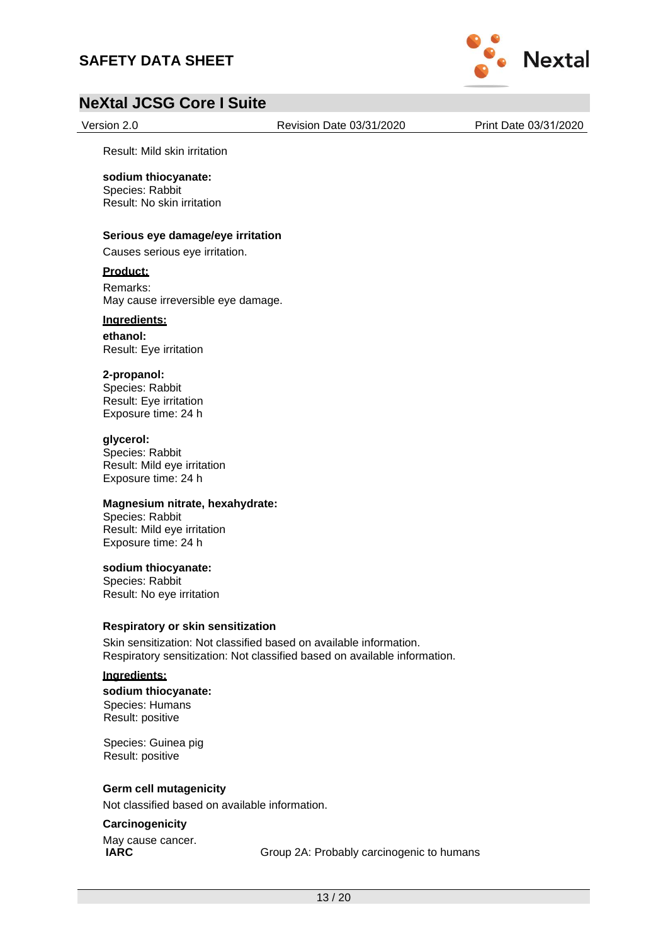## **SAFETY DATA SHEET**



## **NeXtal JCSG Core I Suite**

Version 2.0 Revision Date 03/31/2020 Print Date 03/31/2020

Result: Mild skin irritation

#### **sodium thiocyanate:**

Species: Rabbit Result: No skin irritation

#### **Serious eye damage/eye irritation**

Causes serious eye irritation.

#### **Product:**

Remarks: May cause irreversible eye damage.

### **Ingredients:**

**ethanol:** Result: Eye irritation

#### **2-propanol:**

Species: Rabbit Result: Eye irritation Exposure time: 24 h

#### **glycerol:**

Species: Rabbit Result: Mild eye irritation Exposure time: 24 h

#### **Magnesium nitrate, hexahydrate:**

Species: Rabbit Result: Mild eye irritation Exposure time: 24 h

#### **sodium thiocyanate:**

Species: Rabbit Result: No eye irritation

#### **Respiratory or skin sensitization**

Skin sensitization: Not classified based on available information. Respiratory sensitization: Not classified based on available information.

#### **Ingredients:**

**sodium thiocyanate:** Species: Humans Result: positive

Species: Guinea pig Result: positive

### **Germ cell mutagenicity**

Not classified based on available information.

#### **Carcinogenicity**

May cause cancer.<br>IARC

Group 2A: Probably carcinogenic to humans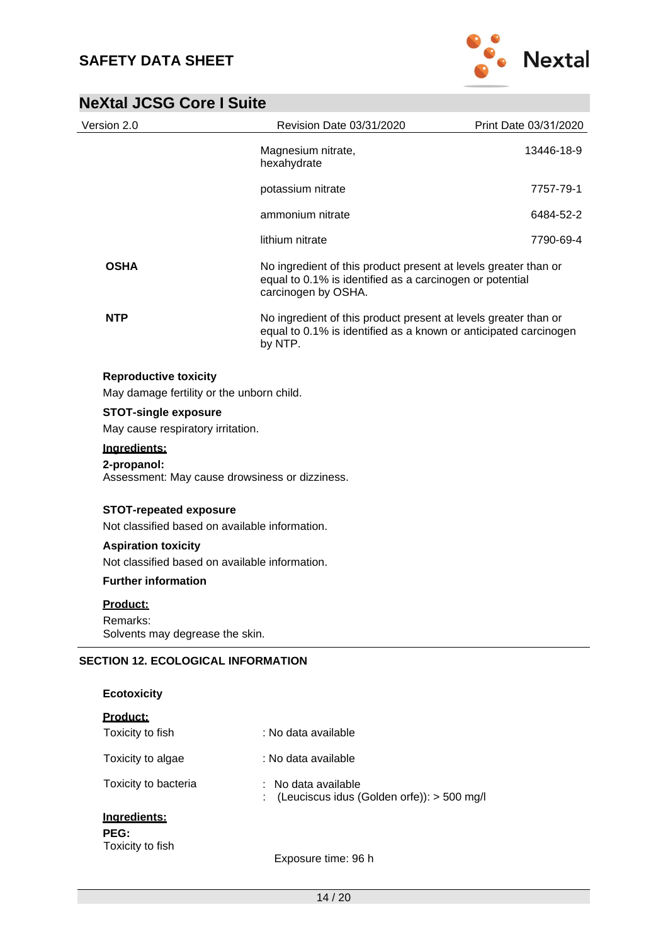

| Version 2.0                                                                     | Revision Date 03/31/2020                                                                                                                           | Print Date 03/31/2020 |
|---------------------------------------------------------------------------------|----------------------------------------------------------------------------------------------------------------------------------------------------|-----------------------|
|                                                                                 | Magnesium nitrate,<br>hexahydrate                                                                                                                  | 13446-18-9            |
|                                                                                 | potassium nitrate                                                                                                                                  | 7757-79-1             |
|                                                                                 | ammonium nitrate                                                                                                                                   | 6484-52-2             |
|                                                                                 | lithium nitrate                                                                                                                                    | 7790-69-4             |
| <b>OSHA</b>                                                                     | No ingredient of this product present at levels greater than or<br>equal to 0.1% is identified as a carcinogen or potential<br>carcinogen by OSHA. |                       |
| <b>NTP</b>                                                                      | No ingredient of this product present at levels greater than or<br>equal to 0.1% is identified as a known or anticipated carcinogen<br>by NTP.     |                       |
| <b>Reproductive toxicity</b><br>May damage fertility or the unborn child.       |                                                                                                                                                    |                       |
| <b>STOT-single exposure</b><br>May cause respiratory irritation.                |                                                                                                                                                    |                       |
| Ingredients:<br>2-propanol:                                                     | Assessment: May cause drowsiness or dizziness.                                                                                                     |                       |
| <b>STOT-repeated exposure</b><br>Not classified based on available information. |                                                                                                                                                    |                       |
| <b>Aspiration toxicity</b><br>Not classified based on available information.    |                                                                                                                                                    |                       |
| <b>Further information</b>                                                      |                                                                                                                                                    |                       |
| <u>Product:</u><br>Remarks:<br>Solvents may degrease the skin.                  |                                                                                                                                                    |                       |
| <b>SECTION 12. ECOLOGICAL INFORMATION</b>                                       |                                                                                                                                                    |                       |
| <b>Ecotoxicity</b>                                                              |                                                                                                                                                    |                       |
| Product:                                                                        |                                                                                                                                                    |                       |
| Toxicity to fish                                                                | : No data available                                                                                                                                |                       |
| Toxicity to algae                                                               | : No data available                                                                                                                                |                       |
| Toxicity to bacteria                                                            | No data available<br>(Leuciscus idus (Golden orfe)): > 500 mg/l                                                                                    |                       |
| Ingredients:                                                                    |                                                                                                                                                    |                       |
| PEG:<br>Toxicity to fish                                                        |                                                                                                                                                    |                       |
|                                                                                 | Exposure time: 96 h                                                                                                                                |                       |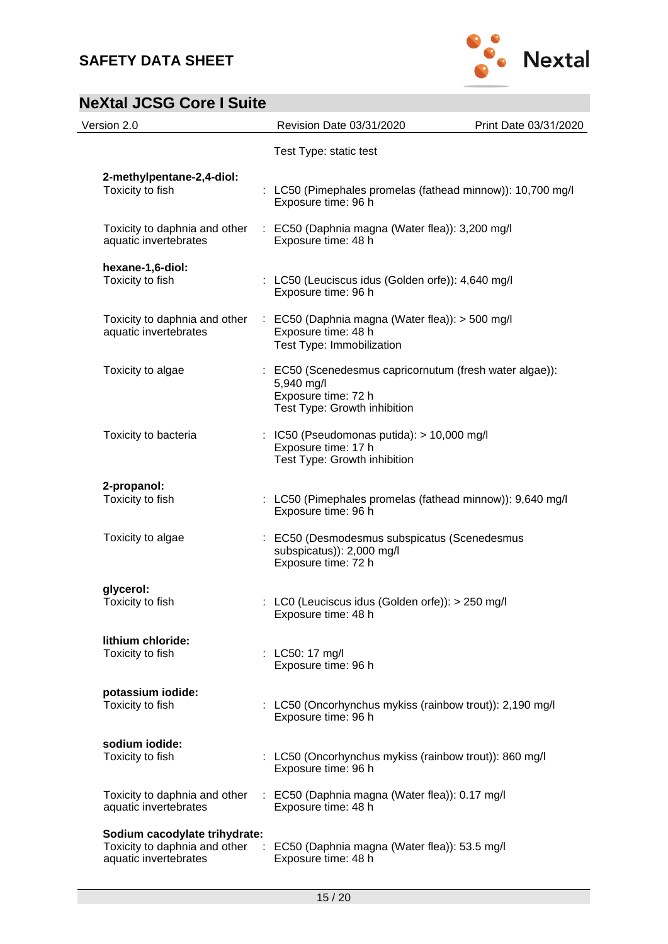

| Version 2.0                                                                             | Revision Date 03/31/2020                                                                                                     | Print Date 03/31/2020 |
|-----------------------------------------------------------------------------------------|------------------------------------------------------------------------------------------------------------------------------|-----------------------|
|                                                                                         | Test Type: static test                                                                                                       |                       |
| 2-methylpentane-2,4-diol:<br>Toxicity to fish                                           | : LC50 (Pimephales promelas (fathead minnow)): 10,700 mg/l<br>Exposure time: 96 h                                            |                       |
| Toxicity to daphnia and other<br>aquatic invertebrates                                  | : EC50 (Daphnia magna (Water flea)): 3,200 mg/l<br>Exposure time: 48 h                                                       |                       |
| hexane-1,6-diol:<br>Toxicity to fish                                                    | : LC50 (Leuciscus idus (Golden orfe)): 4,640 mg/l<br>Exposure time: 96 h                                                     |                       |
| Toxicity to daphnia and other<br>aquatic invertebrates                                  | $\therefore$ EC50 (Daphnia magna (Water flea)): > 500 mg/l<br>Exposure time: 48 h<br>Test Type: Immobilization               |                       |
| Toxicity to algae                                                                       | : EC50 (Scenedesmus capricornutum (fresh water algae)):<br>5,940 mg/l<br>Exposure time: 72 h<br>Test Type: Growth inhibition |                       |
| Toxicity to bacteria                                                                    | : IC50 (Pseudomonas putida): $> 10,000$ mg/l<br>Exposure time: 17 h<br>Test Type: Growth inhibition                          |                       |
| 2-propanol:<br>Toxicity to fish                                                         | : LC50 (Pimephales promelas (fathead minnow)): 9,640 mg/l<br>Exposure time: 96 h                                             |                       |
| Toxicity to algae                                                                       | : EC50 (Desmodesmus subspicatus (Scenedesmus<br>subspicatus)): 2,000 mg/l<br>Exposure time: 72 h                             |                       |
| glycerol:<br>Toxicity to fish                                                           | : LC0 (Leuciscus idus (Golden orfe)): > 250 mg/l<br>Exposure time: 48 h                                                      |                       |
| lithium chloride:<br>Toxicity to fish                                                   | : LC50: 17 mg/l<br>Exposure time: 96 h                                                                                       |                       |
| potassium iodide:<br>Toxicity to fish                                                   | : LC50 (Oncorhynchus mykiss (rainbow trout)): 2,190 mg/l<br>Exposure time: 96 h                                              |                       |
| sodium iodide:<br>Toxicity to fish                                                      | : LC50 (Oncorhynchus mykiss (rainbow trout)): 860 mg/l<br>Exposure time: 96 h                                                |                       |
| Toxicity to daphnia and other<br>aquatic invertebrates                                  | : EC50 (Daphnia magna (Water flea)): 0.17 mg/l<br>Exposure time: 48 h                                                        |                       |
| Sodium cacodylate trihydrate:<br>Toxicity to daphnia and other<br>aquatic invertebrates | EC50 (Daphnia magna (Water flea)): 53.5 mg/l<br>Exposure time: 48 h                                                          |                       |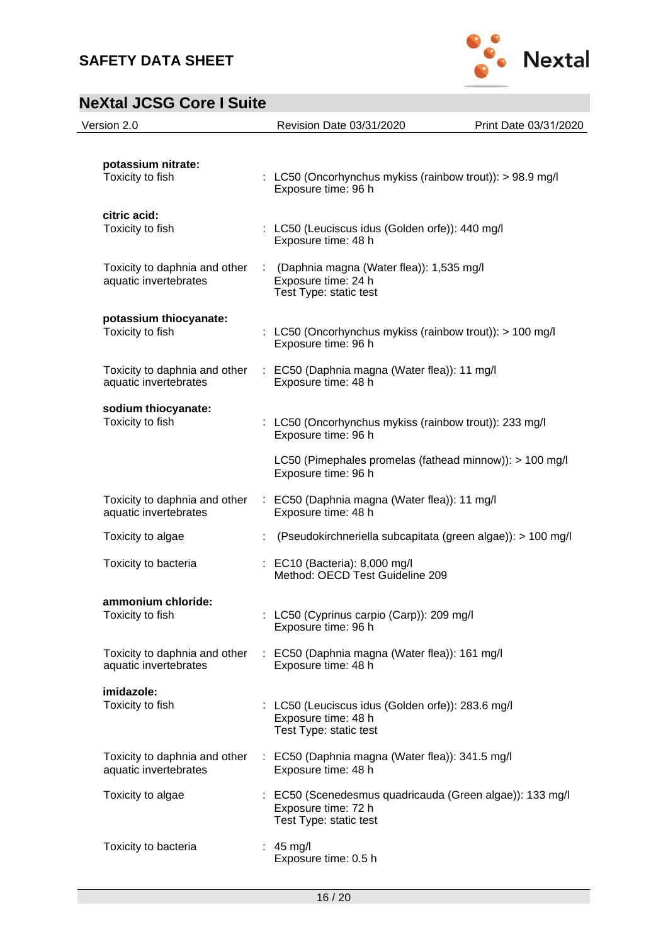

| Version 2.0                                            | Revision Date 03/31/2020                                                                                  | Print Date 03/31/2020 |
|--------------------------------------------------------|-----------------------------------------------------------------------------------------------------------|-----------------------|
| potassium nitrate:<br>Toxicity to fish                 | : LC50 (Oncorhynchus mykiss (rainbow trout)): $> 98.9$ mg/l<br>Exposure time: 96 h                        |                       |
| citric acid:<br>Toxicity to fish                       | : LC50 (Leuciscus idus (Golden orfe)): 440 mg/l<br>Exposure time: 48 h                                    |                       |
| Toxicity to daphnia and other<br>aquatic invertebrates | : (Daphnia magna (Water flea)): 1,535 mg/l<br>Exposure time: 24 h<br>Test Type: static test               |                       |
| potassium thiocyanate:<br>Toxicity to fish             | : LC50 (Oncorhynchus mykiss (rainbow trout)): > 100 mg/l<br>Exposure time: 96 h                           |                       |
| Toxicity to daphnia and other<br>aquatic invertebrates | : EC50 (Daphnia magna (Water flea)): 11 mg/l<br>Exposure time: 48 h                                       |                       |
| sodium thiocyanate:<br>Toxicity to fish                | : LC50 (Oncorhynchus mykiss (rainbow trout)): 233 mg/l<br>Exposure time: 96 h                             |                       |
|                                                        | LC50 (Pimephales promelas (fathead minnow)): > 100 mg/l<br>Exposure time: 96 h                            |                       |
| Toxicity to daphnia and other<br>aquatic invertebrates | : EC50 (Daphnia magna (Water flea)): 11 mg/l<br>Exposure time: 48 h                                       |                       |
| Toxicity to algae                                      | (Pseudokirchneriella subcapitata (green algae)): > 100 mg/l                                               |                       |
| Toxicity to bacteria                                   | : EC10 (Bacteria): 8,000 mg/l<br>Method: OECD Test Guideline 209                                          |                       |
| ammonium chloride:<br>Toxicity to fish                 | : LC50 (Cyprinus carpio (Carp)): 209 mg/l<br>Exposure time: 96 h                                          |                       |
| Toxicity to daphnia and other<br>aquatic invertebrates | : EC50 (Daphnia magna (Water flea)): 161 mg/l<br>Exposure time: 48 h                                      |                       |
| imidazole:<br>Toxicity to fish                         | : LC50 (Leuciscus idus (Golden orfe)): 283.6 mg/l<br>Exposure time: 48 h<br>Test Type: static test        |                       |
| Toxicity to daphnia and other<br>aquatic invertebrates | : EC50 (Daphnia magna (Water flea)): 341.5 mg/l<br>Exposure time: 48 h                                    |                       |
| Toxicity to algae                                      | : EC50 (Scenedesmus quadricauda (Green algae)): 133 mg/l<br>Exposure time: 72 h<br>Test Type: static test |                       |
| Toxicity to bacteria                                   | $: 45$ mg/l<br>Exposure time: 0.5 h                                                                       |                       |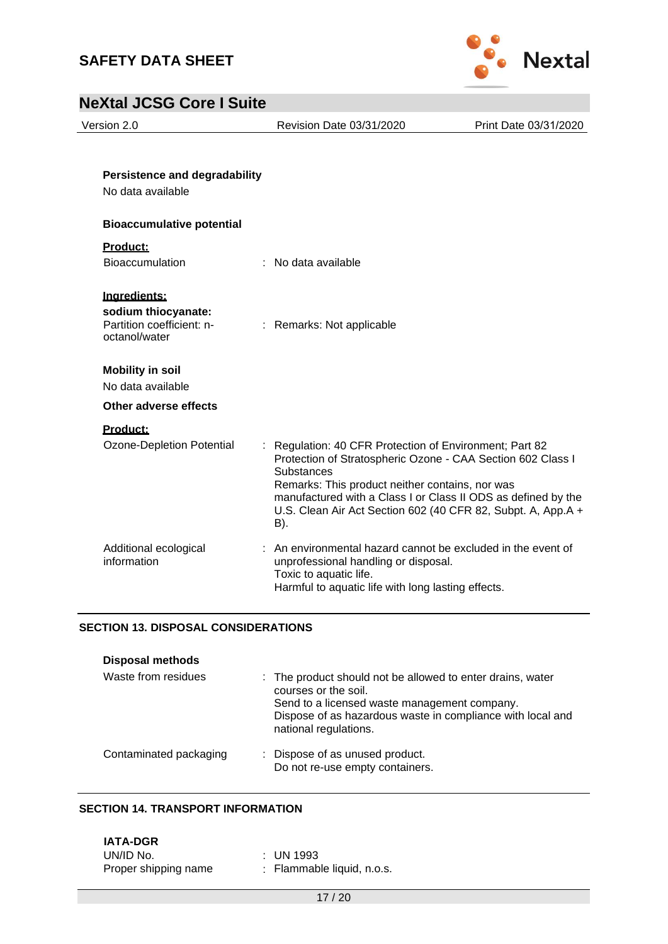



Version 2.0 Revision Date 03/31/2020 Print Date 03/31/2020

| <b>Persistence and degradability</b><br>No data available                         |                                                                                                                                                                                                                                                                                                                               |
|-----------------------------------------------------------------------------------|-------------------------------------------------------------------------------------------------------------------------------------------------------------------------------------------------------------------------------------------------------------------------------------------------------------------------------|
| <b>Bioaccumulative potential</b>                                                  |                                                                                                                                                                                                                                                                                                                               |
| Product:<br><b>Bioaccumulation</b>                                                | : No data available                                                                                                                                                                                                                                                                                                           |
| Ingredients:<br>sodium thiocyanate:<br>Partition coefficient: n-<br>octanol/water | : Remarks: Not applicable                                                                                                                                                                                                                                                                                                     |
| <b>Mobility in soil</b><br>No data available<br>Other adverse effects             |                                                                                                                                                                                                                                                                                                                               |
|                                                                                   |                                                                                                                                                                                                                                                                                                                               |
| Product:<br>Ozone-Depletion Potential                                             | Regulation: 40 CFR Protection of Environment; Part 82<br>Protection of Stratospheric Ozone - CAA Section 602 Class I<br>Substances<br>Remarks: This product neither contains, nor was<br>manufactured with a Class I or Class II ODS as defined by the<br>U.S. Clean Air Act Section 602 (40 CFR 82, Subpt. A, App.A +<br>B). |
| Additional ecological<br>information                                              | : An environmental hazard cannot be excluded in the event of<br>unprofessional handling or disposal.<br>Toxic to aquatic life.<br>Harmful to aquatic life with long lasting effects.                                                                                                                                          |

### **SECTION 13. DISPOSAL CONSIDERATIONS**

| <b>Disposal methods</b> |                                                                                                                                    |
|-------------------------|------------------------------------------------------------------------------------------------------------------------------------|
| Waste from residues     | : The product should not be allowed to enter drains, water<br>courses or the soil.<br>Send to a licensed waste management company. |
|                         | Dispose of as hazardous waste in compliance with local and<br>national regulations.                                                |
| Contaminated packaging  | : Dispose of as unused product.<br>Do not re-use empty containers.                                                                 |

#### **SECTION 14. TRANSPORT INFORMATION**

**IATA-DGR** UN/ID No. : UN 1993 Proper shipping name : Flammable liquid, n.o.s.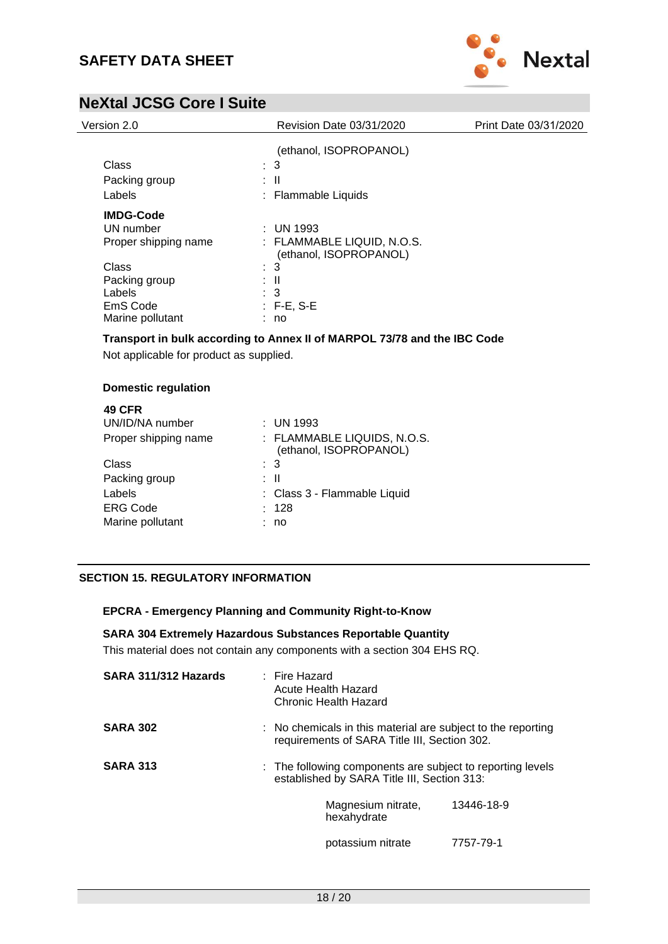

| Version 2.0          | Revision Date 03/31/2020                             | Print Date 03/31/2020 |
|----------------------|------------------------------------------------------|-----------------------|
|                      | (ethanol, ISOPROPANOL)                               |                       |
| Class                | $\therefore$ 3                                       |                       |
| Packing group        | : II                                                 |                       |
| Labels               | : Flammable Liquids                                  |                       |
| <b>IMDG-Code</b>     |                                                      |                       |
| UN number            | $\therefore$ UN 1993                                 |                       |
| Proper shipping name | : FLAMMABLE LIQUID, N.O.S.<br>(ethanol, ISOPROPANOL) |                       |
| Class                | $\therefore$ 3                                       |                       |
| Packing group        | : II                                                 |                       |
| Labels               | : 3                                                  |                       |
| EmS Code             | $: F-E, S-E$                                         |                       |
| Marine pollutant     | : no                                                 |                       |

**Transport in bulk according to Annex II of MARPOL 73/78 and the IBC Code**

Not applicable for product as supplied.

#### **Domestic regulation**

| <b>49 CFR</b>        |                                                       |
|----------------------|-------------------------------------------------------|
| UN/ID/NA number      | $:$ UN 1993                                           |
| Proper shipping name | : FLAMMABLE LIQUIDS, N.O.S.<br>(ethanol, ISOPROPANOL) |
| Class                | $\colon$ 3                                            |
| Packing group        | : II                                                  |
| Labels               | : Class 3 - Flammable Liquid                          |
| <b>ERG Code</b>      | : 128                                                 |
| Marine pollutant     | no                                                    |
|                      |                                                       |

### **SECTION 15. REGULATORY INFORMATION**

#### **EPCRA - Emergency Planning and Community Right-to-Know**

#### **SARA 304 Extremely Hazardous Substances Reportable Quantity**

This material does not contain any components with a section 304 EHS RQ.

| SARA 311/312 Hazards | $\pm$ Fire Hazard<br>Acute Health Hazard<br>Chronic Health Hazard                                         |                                                                                                                         |            |
|----------------------|-----------------------------------------------------------------------------------------------------------|-------------------------------------------------------------------------------------------------------------------------|------------|
| <b>SARA 302</b>      |                                                                                                           | $\therefore$ No chemicals in this material are subject to the reporting<br>requirements of SARA Title III, Section 302. |            |
| <b>SARA 313</b>      | : The following components are subject to reporting levels<br>established by SARA Title III, Section 313: |                                                                                                                         |            |
|                      |                                                                                                           | Magnesium nitrate,<br>hexahydrate                                                                                       | 13446-18-9 |
|                      |                                                                                                           | potassium nitrate                                                                                                       | 7757-79-1  |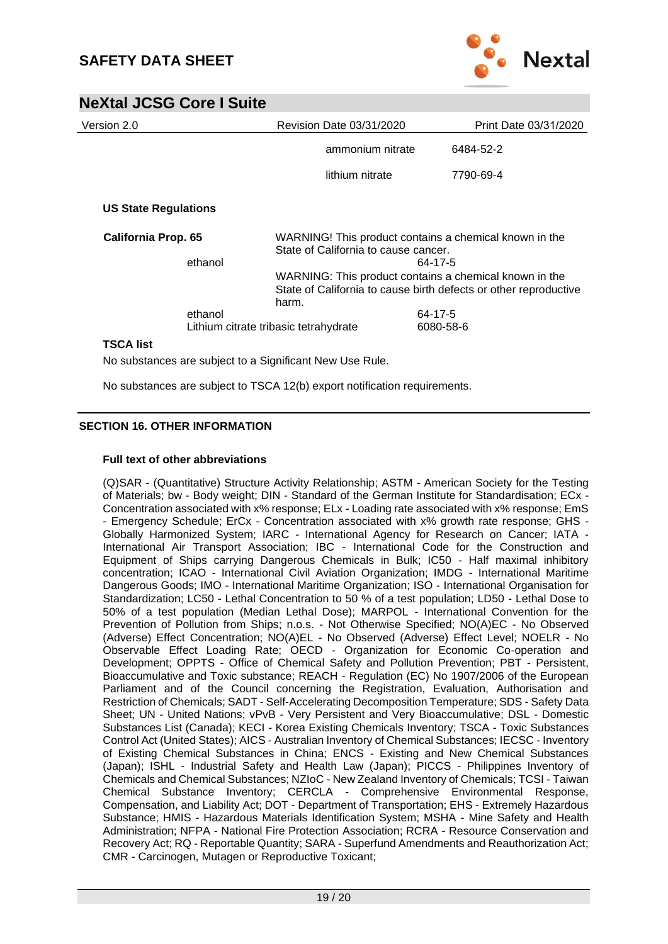

| Version 2.0                                              |         |                                                                                                           | Revision Date 03/31/2020 |           | Print Date 03/31/2020 |
|----------------------------------------------------------|---------|-----------------------------------------------------------------------------------------------------------|--------------------------|-----------|-----------------------|
|                                                          |         |                                                                                                           | ammonium nitrate         |           | 6484-52-2             |
|                                                          |         |                                                                                                           | lithium nitrate          |           | 7790-69-4             |
| <b>US State Regulations</b>                              |         |                                                                                                           |                          |           |                       |
| <b>California Prop. 65</b><br>ethanol                    |         | WARNING! This product contains a chemical known in the<br>State of California to cause cancer.<br>64-17-5 |                          |           |                       |
|                                                          |         |                                                                                                           |                          |           |                       |
|                                                          |         | State of California to cause birth defects or other reproductive                                          |                          |           |                       |
|                                                          |         |                                                                                                           |                          | harm.     |                       |
|                                                          | ethanol |                                                                                                           |                          | 64-17-5   |                       |
|                                                          |         | Lithium citrate tribasic tetrahydrate                                                                     |                          | 6080-58-6 |                       |
| <b>TSCA list</b>                                         |         |                                                                                                           |                          |           |                       |
| No substances are subject to a Significant New Use Rule. |         |                                                                                                           |                          |           |                       |

No substances are subject to TSCA 12(b) export notification requirements.

#### **SECTION 16. OTHER INFORMATION**

#### **Full text of other abbreviations**

(Q)SAR - (Quantitative) Structure Activity Relationship; ASTM - American Society for the Testing of Materials; bw - Body weight; DIN - Standard of the German Institute for Standardisation; ECx - Concentration associated with x% response; ELx - Loading rate associated with x% response; EmS - Emergency Schedule; ErCx - Concentration associated with x% growth rate response; GHS - Globally Harmonized System; IARC - International Agency for Research on Cancer; IATA - International Air Transport Association; IBC - International Code for the Construction and Equipment of Ships carrying Dangerous Chemicals in Bulk; IC50 - Half maximal inhibitory concentration; ICAO - International Civil Aviation Organization; IMDG - International Maritime Dangerous Goods; IMO - International Maritime Organization; ISO - International Organisation for Standardization; LC50 - Lethal Concentration to 50 % of a test population; LD50 - Lethal Dose to 50% of a test population (Median Lethal Dose); MARPOL - International Convention for the Prevention of Pollution from Ships; n.o.s. - Not Otherwise Specified; NO(A)EC - No Observed (Adverse) Effect Concentration; NO(A)EL - No Observed (Adverse) Effect Level; NOELR - No Observable Effect Loading Rate; OECD - Organization for Economic Co-operation and Development; OPPTS - Office of Chemical Safety and Pollution Prevention; PBT - Persistent, Bioaccumulative and Toxic substance; REACH - Regulation (EC) No 1907/2006 of the European Parliament and of the Council concerning the Registration, Evaluation, Authorisation and Restriction of Chemicals; SADT - Self-Accelerating Decomposition Temperature; SDS - Safety Data Sheet; UN - United Nations; vPvB - Very Persistent and Very Bioaccumulative; DSL - Domestic Substances List (Canada); KECI - Korea Existing Chemicals Inventory; TSCA - Toxic Substances Control Act (United States); AICS - Australian Inventory of Chemical Substances; IECSC - Inventory of Existing Chemical Substances in China; ENCS - Existing and New Chemical Substances (Japan); ISHL - Industrial Safety and Health Law (Japan); PICCS - Philippines Inventory of Chemicals and Chemical Substances; NZIoC - New Zealand Inventory of Chemicals; TCSI - Taiwan Chemical Substance Inventory; CERCLA - Comprehensive Environmental Response, Compensation, and Liability Act; DOT - Department of Transportation; EHS - Extremely Hazardous Substance; HMIS - Hazardous Materials Identification System; MSHA - Mine Safety and Health Administration; NFPA - National Fire Protection Association; RCRA - Resource Conservation and Recovery Act; RQ - Reportable Quantity; SARA - Superfund Amendments and Reauthorization Act; CMR - Carcinogen, Mutagen or Reproductive Toxicant;